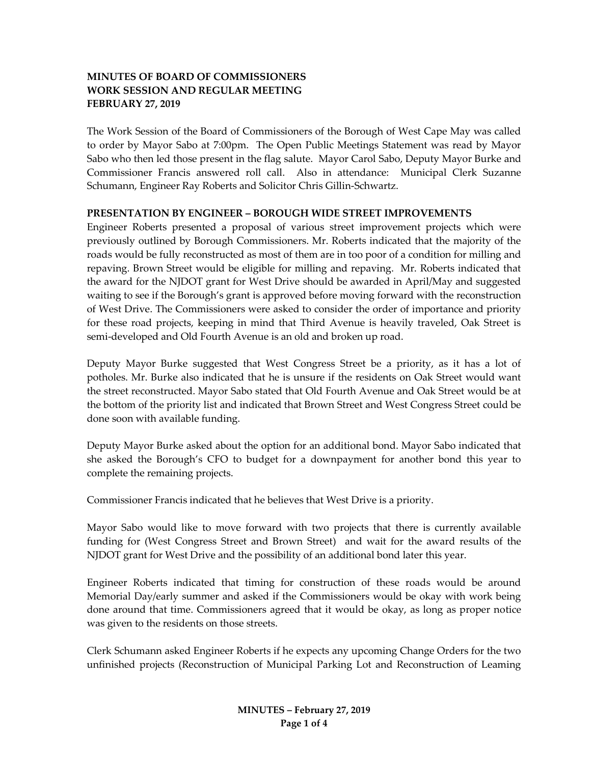# **MINUTES OF BOARD OF COMMISSIONERS WORK SESSION AND REGULAR MEETING FEBRUARY 27, 2019**

The Work Session of the Board of Commissioners of the Borough of West Cape May was called to order by Mayor Sabo at 7:00pm. The Open Public Meetings Statement was read by Mayor Sabo who then led those present in the flag salute. Mayor Carol Sabo, Deputy Mayor Burke and Commissioner Francis answered roll call. Also in attendance: Municipal Clerk Suzanne Schumann, Engineer Ray Roberts and Solicitor Chris Gillin-Schwartz.

#### **PRESENTATION BY ENGINEER – BOROUGH WIDE STREET IMPROVEMENTS**

Engineer Roberts presented a proposal of various street improvement projects which were previously outlined by Borough Commissioners. Mr. Roberts indicated that the majority of the roads would be fully reconstructed as most of them are in too poor of a condition for milling and repaving. Brown Street would be eligible for milling and repaving. Mr. Roberts indicated that the award for the NJDOT grant for West Drive should be awarded in April/May and suggested waiting to see if the Borough's grant is approved before moving forward with the reconstruction of West Drive. The Commissioners were asked to consider the order of importance and priority for these road projects, keeping in mind that Third Avenue is heavily traveled, Oak Street is semi-developed and Old Fourth Avenue is an old and broken up road.

Deputy Mayor Burke suggested that West Congress Street be a priority, as it has a lot of potholes. Mr. Burke also indicated that he is unsure if the residents on Oak Street would want the street reconstructed. Mayor Sabo stated that Old Fourth Avenue and Oak Street would be at the bottom of the priority list and indicated that Brown Street and West Congress Street could be done soon with available funding.

Deputy Mayor Burke asked about the option for an additional bond. Mayor Sabo indicated that she asked the Borough's CFO to budget for a downpayment for another bond this year to complete the remaining projects.

Commissioner Francis indicated that he believes that West Drive is a priority.

Mayor Sabo would like to move forward with two projects that there is currently available funding for (West Congress Street and Brown Street) and wait for the award results of the NJDOT grant for West Drive and the possibility of an additional bond later this year.

Engineer Roberts indicated that timing for construction of these roads would be around Memorial Day/early summer and asked if the Commissioners would be okay with work being done around that time. Commissioners agreed that it would be okay, as long as proper notice was given to the residents on those streets.

Clerk Schumann asked Engineer Roberts if he expects any upcoming Change Orders for the two unfinished projects (Reconstruction of Municipal Parking Lot and Reconstruction of Leaming

> **MINUTES – February 27, 2019 Page 1 of 4**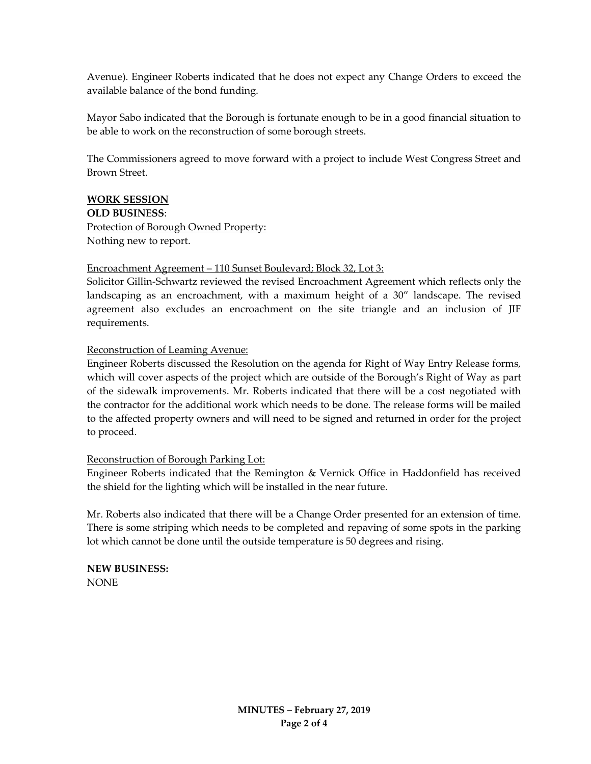Avenue). Engineer Roberts indicated that he does not expect any Change Orders to exceed the available balance of the bond funding.

Mayor Sabo indicated that the Borough is fortunate enough to be in a good financial situation to be able to work on the reconstruction of some borough streets.

The Commissioners agreed to move forward with a project to include West Congress Street and Brown Street.

## **WORK SESSION**

**OLD BUSINESS**: Protection of Borough Owned Property: Nothing new to report.

## Encroachment Agreement – 110 Sunset Boulevard; Block 32, Lot 3:

Solicitor Gillin-Schwartz reviewed the revised Encroachment Agreement which reflects only the landscaping as an encroachment, with a maximum height of a 30" landscape. The revised agreement also excludes an encroachment on the site triangle and an inclusion of JIF requirements.

## Reconstruction of Leaming Avenue:

Engineer Roberts discussed the Resolution on the agenda for Right of Way Entry Release forms, which will cover aspects of the project which are outside of the Borough's Right of Way as part of the sidewalk improvements. Mr. Roberts indicated that there will be a cost negotiated with the contractor for the additional work which needs to be done. The release forms will be mailed to the affected property owners and will need to be signed and returned in order for the project to proceed.

#### Reconstruction of Borough Parking Lot:

Engineer Roberts indicated that the Remington & Vernick Office in Haddonfield has received the shield for the lighting which will be installed in the near future.

Mr. Roberts also indicated that there will be a Change Order presented for an extension of time. There is some striping which needs to be completed and repaving of some spots in the parking lot which cannot be done until the outside temperature is 50 degrees and rising.

**NEW BUSINESS:** NONE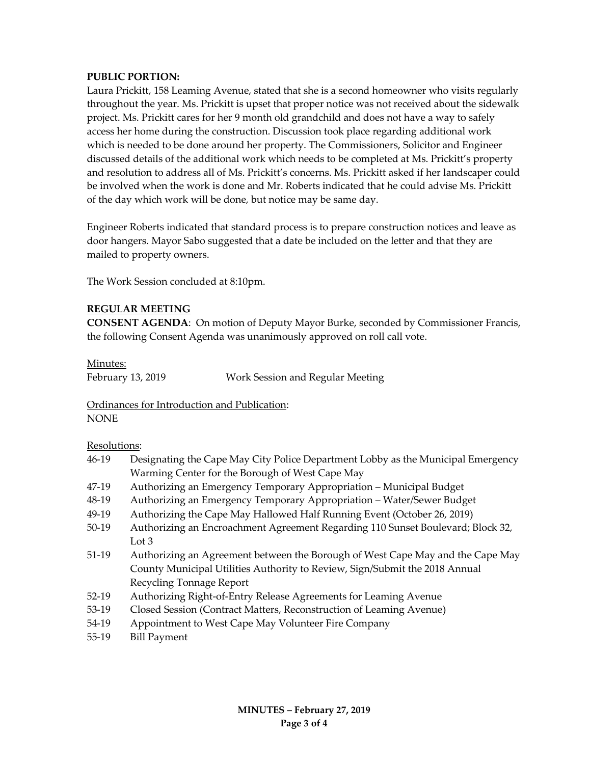# **PUBLIC PORTION:**

Laura Prickitt, 158 Leaming Avenue, stated that she is a second homeowner who visits regularly throughout the year. Ms. Prickitt is upset that proper notice was not received about the sidewalk project. Ms. Prickitt cares for her 9 month old grandchild and does not have a way to safely access her home during the construction. Discussion took place regarding additional work which is needed to be done around her property. The Commissioners, Solicitor and Engineer discussed details of the additional work which needs to be completed at Ms. Prickitt's property and resolution to address all of Ms. Prickitt's concerns. Ms. Prickitt asked if her landscaper could be involved when the work is done and Mr. Roberts indicated that he could advise Ms. Prickitt of the day which work will be done, but notice may be same day.

Engineer Roberts indicated that standard process is to prepare construction notices and leave as door hangers. Mayor Sabo suggested that a date be included on the letter and that they are mailed to property owners.

The Work Session concluded at 8:10pm.

#### **REGULAR MEETING**

**CONSENT AGENDA**: On motion of Deputy Mayor Burke, seconded by Commissioner Francis, the following Consent Agenda was unanimously approved on roll call vote.

Minutes:

February 13, 2019 Work Session and Regular Meeting

Ordinances for Introduction and Publication: NONE

#### Resolutions:

- 46-19 Designating the Cape May City Police Department Lobby as the Municipal Emergency Warming Center for the Borough of West Cape May
- 47-19 Authorizing an Emergency Temporary Appropriation Municipal Budget
- 48-19 Authorizing an Emergency Temporary Appropriation Water/Sewer Budget
- 49-19 Authorizing the Cape May Hallowed Half Running Event (October 26, 2019)
- 50-19 Authorizing an Encroachment Agreement Regarding 110 Sunset Boulevard; Block 32, Lot 3
- 51-19 Authorizing an Agreement between the Borough of West Cape May and the Cape May County Municipal Utilities Authority to Review, Sign/Submit the 2018 Annual Recycling Tonnage Report
- 52-19 Authorizing Right-of-Entry Release Agreements for Leaming Avenue
- 53-19 Closed Session (Contract Matters, Reconstruction of Leaming Avenue)
- 54-19 Appointment to West Cape May Volunteer Fire Company
- 55-19 Bill Payment